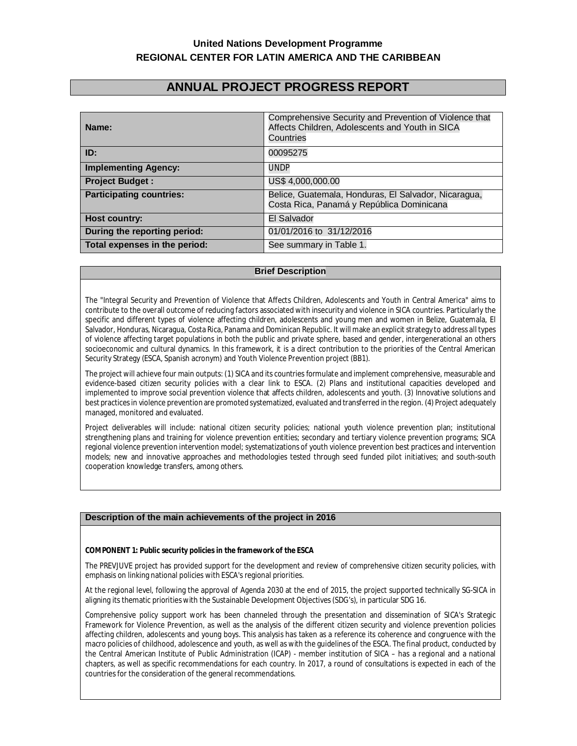# **United Nations Development Programme REGIONAL CENTER FOR LATIN AMERICA AND THE CARIBBEAN**

# **ANNUAL PROJECT PROGRESS REPORT**

| Name:                           | Comprehensive Security and Prevention of Violence that<br>Affects Children, Adolescents and Youth in SICA<br>Countries |  |
|---------------------------------|------------------------------------------------------------------------------------------------------------------------|--|
| ID:                             | 00095275                                                                                                               |  |
| <b>Implementing Agency:</b>     | <b>UNDP</b>                                                                                                            |  |
| <b>Project Budget:</b>          | US\$4,000,000.00                                                                                                       |  |
| <b>Participating countries:</b> | Belice, Guatemala, Honduras, El Salvador, Nicaragua,<br>Costa Rica, Panamá y República Dominicana                      |  |
| Host country:                   | El Salvador                                                                                                            |  |
| During the reporting period:    | 01/01/2016 to 31/12/2016                                                                                               |  |
| Total expenses in the period:   | See summary in Table 1.                                                                                                |  |

#### **Brief Description**

The "Integral Security and Prevention of Violence that Affects Children, Adolescents and Youth in Central America" aims to contribute to the overall outcome of reducing factors associated with insecurity and violence in SICA countries. Particularly the specific and different types of violence affecting children, adolescents and young men and women in Belize, Guatemala, El Salvador, Honduras, Nicaragua, Costa Rica, Panama and Dominican Republic. It will make an explicit strategy to address all types of violence affecting target populations in both the public and private sphere, based and gender, intergenerational an others socioeconomic and cultural dynamics. In this framework, it is a direct contribution to the priorities of the Central American Security Strategy (ESCA, Spanish acronym) and Youth Violence Prevention project (BB1).

The project will achieve four main outputs: (1) SICA and its countries formulate and implement comprehensive, measurable and evidence-based citizen security policies with a clear link to ESCA. (2) Plans and institutional capacities developed and implemented to improve social prevention violence that affects children, adolescents and youth. (3) Innovative solutions and best practices in violence prevention are promoted systematized, evaluated and transferred in the region. (4) Project adequately managed, monitored and evaluated.

Project deliverables will include: national citizen security policies; national youth violence prevention plan; institutional strengthening plans and training for violence prevention entities; secondary and tertiary violence prevention programs; SICA regional violence prevention intervention model; systematizations of youth violence prevention best practices and intervention models; new and innovative approaches and methodologies tested through seed funded pilot initiatives; and south-south cooperation knowledge transfers, among others.

#### **Description of the main achievements of the project in 2016**

#### **COMPONENT 1: Public security policies in the framework of the ESCA**

The PREVJUVE project has provided support for the development and review of comprehensive citizen security policies, with emphasis on linking national policies with ESCA's regional priorities.

At the regional level, following the approval of Agenda 2030 at the end of 2015, the project supported technically SG-SICA in aligning its thematic priorities with the Sustainable Development Objectives (SDG's), in particular SDG 16.

Comprehensive *policy support* work has been channeled through the presentation and dissemination of SICA's Strategic Framework for Violence Prevention, as well as the analysis of the different citizen security and violence prevention policies affecting children, adolescents and young boys. This analysis has taken as a reference its coherence and congruence with the macro policies of childhood, adolescence and youth, as well as with the guidelines of the ESCA. The final product, conducted by the Central American Institute of Public Administration (ICAP) - member institution of SICA – has a regional and a national chapters, as well as specific recommendations for each country. In 2017, a round of consultations is expected in each of the countries for the consideration of the general recommendations.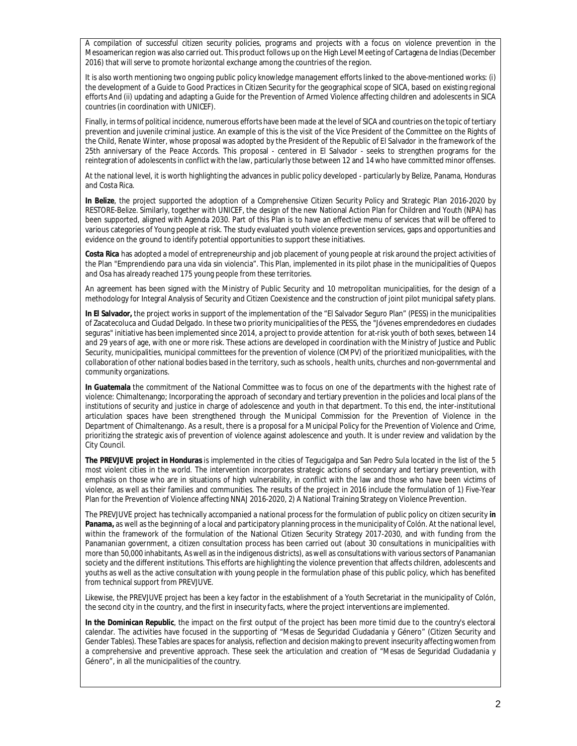A *compilation of successful citizen security policies*, programs and projects with a focus on violence prevention in the Mesoamerican region was also carried out. This product follows up on the High Level Meeting of Cartagena de Indias (December 2016) that will serve to promote horizontal exchange among the countries of the region.

It is also worth mentioning two ongoing public policy kn*owledge management* efforts linked to the above-mentioned works: (i) the development of a Guide to Good Practices in Citizen Security for the geographical scope of SICA, based on existing regional efforts And (ii) updating and adapting a Guide for the Prevention of Armed Violence affecting children and adolescents in SICA countries (in coordination with UNICEF).

Finally, in terms of *political incidence,* numerous efforts have been made at the level of SICA and countries on the topic of tertiary prevention and juvenile criminal justice. An example of this is the visit of the Vice President of the Committee on the Rights of the Child, Renate Winter, whose proposal was adopted by the President of the Republic of El Salvador in the framework of the 25th anniversary of the Peace Accords. This proposal - centered in El Salvador - seeks to strengthen programs for the reintegration of adolescents in conflict with the law, particularly those between 12 and 14 who have committed minor offenses.

At the national level, it is worth highlighting the advances in public policy developed - particularly by Belize, Panama, Honduras and Costa Rica.

**In Belize**, the project supported the adoption of a Comprehensive Citizen Security Policy and Strategic Plan 2016-2020 by RESTORE-Belize. Similarly, together with UNICEF, the design of the new National Action Plan for Children and Youth (NPA) has been supported, aligned with Agenda 2030. Part of this Plan is to have an effective menu of services that will be offered to various categories of Young people at risk. The study evaluated youth violence prevention services, gaps and opportunities and evidence on the ground to identify potential opportunities to support these initiatives.

**Costa Rica** has adopted a model of entrepreneurship and job placement of young people at risk around the project activities of the Plan "Emprendiendo para una vida sin violencia". This Plan, implemented in its pilot phase in the municipalities of Quepos and Osa has already reached 175 young people from these territories.

An agreement has been signed with the Ministry of Public Security and 10 metropolitan municipalities, for the design of a methodology for Integral Analysis of Security and Citizen Coexistence and the construction of joint pilot municipal safety plans.

**In El Salvador,** the project works in support of the implementation of the "El Salvador Seguro Plan" (PESS) in the municipalities of Zacatecoluca and Ciudad Delgado. In these two priority municipalities of the PESS, the "Jóvenes emprendedores en ciudades seguras" initiative has been implemented since 2014, a project to provide attention for at-risk youth of both sexes, between 14 and 29 years of age, with one or more risk. These actions are developed in coordination with the Ministry of Justice and Public Security, municipalities, municipal committees for the prevention of violence (CMPV) of the prioritized municipalities, with the collaboration of other national bodies based in the territory, such as schools , health units, churches and non-governmental and community organizations.

**In Guatemala** the commitment of the National Committee was to focus on one of the departments with the highest rate of violence: Chimaltenango; Incorporating the approach of secondary and tertiary prevention in the policies and local plans of the institutions of security and justice in charge of adolescence and youth in that department. To this end, the inter-institutional articulation spaces have been strengthened through the Municipal Commission for the Prevention of Violence in the Department of Chimaltenango. As a result, there is a proposal for a Municipal Policy for the Prevention of Violence and Crime, prioritizing the strategic axis of prevention of violence against adolescence and youth. It is under review and validation by the City Council.

**The PREVJUVE project in Honduras** is implemented in the cities of Tegucigalpa and San Pedro Sula located in the list of the 5 most violent cities in the world. The intervention incorporates strategic actions of secondary and tertiary prevention, with emphasis on those who are in situations of high vulnerability, in conflict with the law and those who have been victims of violence, as well as their families and communities. The results of the project in 2016 include the formulation of 1) Five-Year Plan for the Prevention of Violence affecting NNAJ 2016-2020, 2) A National Training Strategy on Violence Prevention.

The PREVJUVE project has technically accompanied a national process for the formulation of public policy on citizen security **in Panama,** as well as the beginning of a local and participatory planning process in the municipality of Colón. At the national level, within the framework of the formulation of the National Citizen Security Strategy 2017-2030, and with funding from the Panamanian government, a citizen consultation process has been carried out (about 30 consultations in municipalities with more than 50,000 inhabitants, As well as in the indigenous districts), as well as consultations with various sectors of Panamanian society and the different institutions. This efforts are highlighting the violence prevention that affects children, adolescents and youths as well as the active consultation with young people in the formulation phase of this public policy, which has benefited from technical support from PREVJUVE.

Likewise, the PREVJUVE project has been a key factor in the establishment of a Youth Secretariat in the municipality of Colón, the second city in the country, and the first in insecurity facts, where the project interventions are implemented.

**In the Dominican Republic**, the impact on the first output of the project has been more timid due to the country's electoral calendar. The activities have focused in the supporting of "Mesas de Seguridad Ciudadania y Género" (Citizen Security and Gender Tables). These Tables are spaces for analysis, reflection and decision making to prevent insecurity affecting women from a comprehensive and preventive approach. These seek the articulation and creation of "Mesas de Seguridad Ciudadania y Género", in all the municipalities of the country.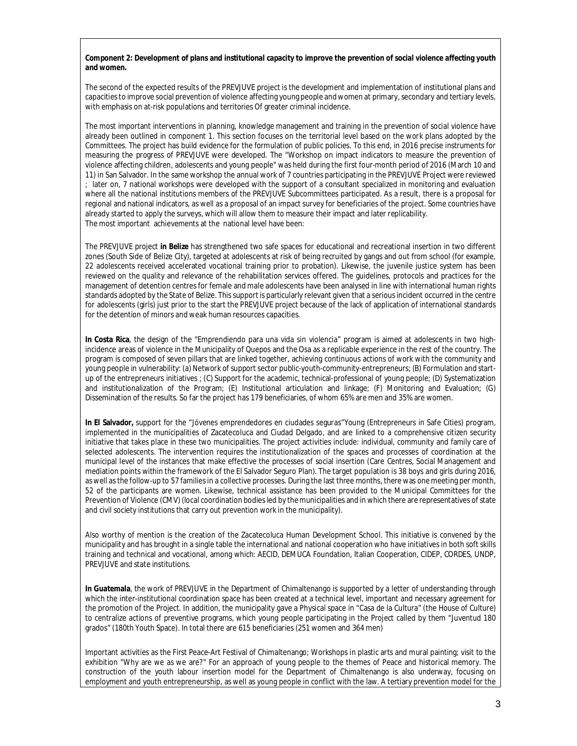#### **Component 2: Development of plans and institutional capacity to improve the prevention of social violence affecting youth and women.**

The second of the expected results of the PREVJUVE project is the development and implementation of institutional plans and capacities to improve social prevention of violence affecting young people and women at primary, secondary and tertiary levels, with emphasis on at-risk populations and territories Of greater criminal incidence.

The most important interventions in planning, knowledge management and training in the prevention of social violence have already been outlined in component 1. This section focuses on the territorial level based on the work plans adopted by the Committees. The project has build evidence for the formulation of public policies. To this end, in 2016 precise instruments for measuring the progress of PREVJUVE were developed. The "Workshop on impact indicators to measure the prevention of violence affecting children, adolescents and young people" was held during the first four-month period of 2016 (March 10 and 11) in San Salvador. In the same workshop the annual work of 7 countries participating in the PREVJUVE Project were reviewed ; later on, 7 national workshops were developed with the support of a consultant specialized in monitoring and evaluation where all the national institutions members of the PREVJUVE Subcommittees participated. As a result, there is a proposal for regional and national indicators, as well as a proposal of an impact survey for beneficiaries of the project. Some countries have already started to apply the surveys, which will allow them to measure their impact and later replicability. The most important achievements at the national level have been:

The PREVJUVE project **in Belize** has strengthened two safe spaces for educational and recreational insertion in two different zones (South Side of Belize City), targeted at adolescents at risk of being recruited by gangs and out from school (for example, 22 adolescents received accelerated vocational training prior to probation). Likewise, the juvenile justice system has been reviewed on the quality and relevance of the rehabilitation services offered. The guidelines, protocols and practices for the management of detention centres for female and male adolescents have been analysed in line with international human rights standards adopted by the State of Belize. This support is particularly relevant given that a serious incident occurred in the centre for adolescents (girls) just prior to the start the PREVJUVE project because of the lack of application of international standards for the detention of minors and weak human resources capacities.

**In Costa Rica**, the design of the "Emprendiendo para una vida sin violencia" program is aimed at adolescents in two highincidence areas of violence in the Municipality of Quepos and the Osa as a replicable experience in the rest of the country. The program is composed of seven pillars that are linked together, achieving continuous actions of work with the community and young people in vulnerability: (a) Network of support sector public-youth-community-entrepreneurs; (B) Formulation and startup of the entrepreneurs initiatives ; (C) Support for the academic, technical-professional of young people; (D) Systematization and institutionalization of the Program; (E) Institutional articulation and linkage; (F) Monitoring and Evaluation; (G) Dissemination of the results. So far the project has 179 beneficiaries, of whom 65% are men and 35% are women.

**In El Salvador,** support for the "Jóvenes emprendedores en ciudades seguras"Young (Entrepreneurs in Safe Cities) program, implemented in the municipalities of Zacatecoluca and Ciudad Delgado, and are linked to a comprehensive citizen security initiative that takes place in these two municipalities. The project activities include: individual, community and family care of selected adolescents. The intervention requires the institutionalization of the spaces and processes of coordination at the municipal level of the instances that make effective the processes of social insertion (Care Centres, Social Management and mediation points within the framework of the El Salvador Seguro Plan). The target population is 38 boys and girls during 2016, as well as the follow-up to 57 families in a collective processes. During the last three months, there was one meeting per month, 52 of the participants are women. Likewise, technical assistance has been provided to the Municipal Committees for the Prevention of Violence (CMV) (local coordination bodies led by the municipalities and in which there are representatives of state and civil society institutions that carry out prevention work in the municipality).

Also worthy of mention is the creation of the Zacatecoluca Human Development School. This initiative is convened by the municipality and has brought in a single table the international and national cooperation who have initiatives in both soft skills training and technical and vocational, among which: AECID, DEMUCA Foundation, Italian Cooperation, CIDEP, CORDES, UNDP, PREVJUVE and state institutions.

**In Guatemala**, the work of PREVJUVE in the Department of Chimaltenango is supported by a letter of understanding through which the inter-institutional coordination space has been created at a technical level, important and necessary agreement for the promotion of the Project. In addition, the municipality gave a Physical space in "Casa de la Cultura" (the House of Culture) to centralize actions of preventive programs, which young people participating in the Project called by them "Juventud 180 grados" (180th Youth Space). In total there are 615 beneficiaries (251 women and 364 men)

Important activities as the First Peace-Art Festival of Chimaltenango; Workshops in plastic arts and mural painting; visit to the exhibition "Why are we as we are?" For an approach of young people to the themes of Peace and historical memory. The construction of the youth labour insertion model for the Department of Chimaltenango is also underway, focusing on employment and youth entrepreneurship, as well as young people in conflict with the law. A tertiary prevention model for the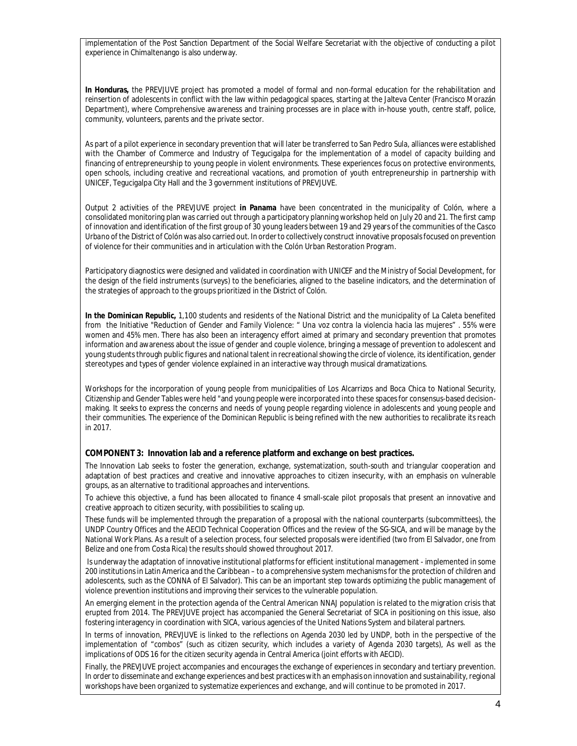implementation of the Post Sanction Department of the Social Welfare Secretariat with the objective of conducting a pilot experience in Chimaltenango is also underway.

**In Honduras,** the PREVJUVE project has promoted a model of formal and non-formal education for the rehabilitation and reinsertion of adolescents in conflict with the law within pedagogical spaces, starting at the Jalteva Center (Francisco Morazán Department), where Comprehensive awareness and training processes are in place with in-house youth, centre staff, police, community, volunteers, parents and the private sector.

As part of a pilot experience in secondary prevention that will later be transferred to San Pedro Sula, alliances were established with the Chamber of Commerce and Industry of Tegucigalpa for the implementation of a model of capacity building and financing of entrepreneurship to young people in violent environments. These experiences focus on protective environments, open schools, including creative and recreational vacations, and promotion of youth entrepreneurship in partnership with UNICEF, Tegucigalpa City Hall and the 3 government institutions of PREVJUVE.

Output 2 activities of the PREVJUVE project **in Panama** have been concentrated in the municipality of Colón, where a consolidated monitoring plan was carried out through a participatory planning workshop held on July 20 and 21. The first camp of innovation and identification of the first group of 30 young leaders between 19 and 29 years of the communities of the *Casco Urbano* of the District of Colón was also carried out. In order to collectively construct innovative proposalsfocused on prevention of violence for their communities and in articulation with the Colón Urban Restoration Program.

Participatory diagnostics were designed and validated in coordination with UNICEF and the Ministry of Social Development, for the design of the field instruments (surveys) to the beneficiaries, aligned to the baseline indicators, and the determination of the strategies of approach to the groups prioritized in the District of Colón.

**In the Dominican Republic,** 1,100 students and residents of the National District and the municipality of La Caleta benefited from the Initiative "Reduction of Gender and Family Violence: " Una voz contra la violencia hacia las mujeres" . 55% were women and 45% men. There has also been an interagency effort aimed at primary and secondary prevention that promotes information and awareness about the issue of gender and couple violence, bringing a message of prevention to adolescent and young students through public figures and national talent in recreational showing the circle of violence, its identification, gender stereotypes and types of gender violence explained in an interactive way through musical dramatizations.

Workshops for the incorporation of young people from municipalities of Los Alcarrizos and Boca Chica to National Security, Citizenship and Gender Tables were held "and young people were incorporated into these spaces for consensus-based decisionmaking. It seeks to express the concerns and needs of young people regarding violence in adolescents and young people and their communities. The experience of the Dominican Republic is being refined with the new authorities to recalibrate its reach in 2017.

## **COMPONENT 3: Innovation lab and a reference platform and exchange on best practices.**

The Innovation Lab seeks to foster the generation, exchange, systematization, south-south and triangular cooperation and adaptation of best practices and creative and innovative approaches to citizen insecurity, with an emphasis on vulnerable groups, as an alternative to traditional approaches and interventions.

To achieve this objective, a fund has been allocated to finance 4 small-scale pilot proposals that present an innovative and creative approach to citizen security, with possibilities to scaling up.

These funds will be implemented through the preparation of a proposal with the national counterparts (subcommittees), the UNDP Country Offices and the AECID Technical Cooperation Offices and the review of the SG-SICA, and will be manage by the National Work Plans. As a result of a selection process, four selected proposals were identified (two from El Salvador, one from Belize and one from Costa Rica) the results should showed throughout 2017.

Is underway the adaptation of innovative institutional platforms for efficient institutional management - implemented in some 200 institutions in Latin America and the Caribbean – to a comprehensive system mechanisms for the protection of children and adolescents, such as the CONNA of El Salvador). This can be an important step towards optimizing the public management of violence prevention institutions and improving their services to the vulnerable population.

An emerging element in the protection agenda of the Central American NNAJ population is related to the migration crisis that erupted from 2014. The PREVJUVE project has accompanied the General Secretariat of SICA in positioning on this issue, also fostering interagency in coordination with SICA, various agencies of the United Nations System and bilateral partners.

In terms of innovation, PREVJUVE is linked to the reflections on Agenda 2030 led by UNDP, both in the perspective of the implementation of "combos" (such as citizen security, which includes a variety of Agenda 2030 targets), As well as the implications of ODS 16 for the citizen security agenda in Central America (joint efforts with AECID).

Finally, the PREVJUVE project accompanies and encourages the exchange of experiences in secondary and tertiary prevention. In order to disseminate and exchange experiences and best practices with an emphasis on innovation and sustainability, regional workshops have been organized to systematize experiences and exchange, and will continue to be promoted in 2017.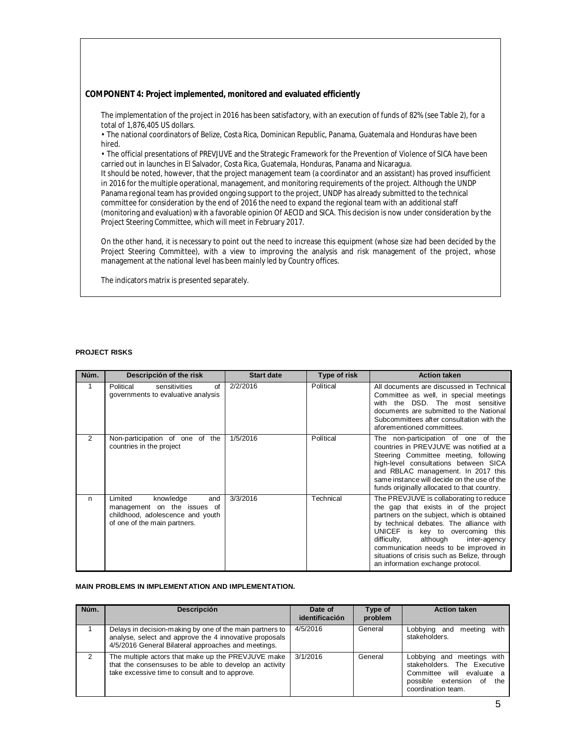#### **COMPONENT 4: Project implemented, monitored and evaluated efficiently**

The implementation of the project in 2016 has been satisfactory, with an execution of funds of 82% (see Table 2), for a total of 1,876,405 US dollars.

• The national coordinators of Belize, Costa Rica, Dominican Republic, Panama, Guatemala and Honduras have been hired.

• The official presentations of PREVJUVE and the Strategic Framework for the Prevention of Violence of SICA have been carried out in launches in El Salvador, Costa Rica, Guatemala, Honduras, Panama and Nicaragua.

It should be noted, however, that the project management team (a coordinator and an assistant) has proved insufficient in 2016 for the multiple operational, management, and monitoring requirements of the project. Although the UNDP Panama regional team has provided ongoing support to the project, UNDP has already submitted to the technical committee for consideration by the end of 2016 the need to expand the regional team with an additional staff (monitoring and evaluation) with a favorable opinion Of AECID and SICA. This decision is now under consideration by the Project Steering Committee, which will meet in February 2017.

On the other hand, it is necessary to point out the need to increase this equipment (whose size had been decided by the Project Steering Committee), with a view to improving the analysis and risk management of the project, whose management at the national level has been mainly led by Country offices.

The indicators matrix is presented separately.

#### **PROJECT RISKS**

| Núm. | Descripción of the risk                                                                                                        | <b>Start date</b> | Type of risk | <b>Action taken</b>                                                                                                                                                                                                                                                                                                                                                                    |
|------|--------------------------------------------------------------------------------------------------------------------------------|-------------------|--------------|----------------------------------------------------------------------------------------------------------------------------------------------------------------------------------------------------------------------------------------------------------------------------------------------------------------------------------------------------------------------------------------|
|      | Political<br>of<br>sensitivities<br>governments to evaluative analysis                                                         | 2/2/2016          | Polítical    | All documents are discussed in Technical<br>Committee as well, in special meetings<br>with the DSD. The most sensitive<br>documents are submitted to the National<br>Subcommittees after consultation with the<br>aforementioned committees.                                                                                                                                           |
| 2    | Non-participation of one of the<br>countries in the project                                                                    | 1/5/2016          | Polítical    | The non-participation of one of the<br>countries in PREVJUVE was notified at a<br>Steering Committee meeting, following<br>high-level consultations between SICA<br>and RBLAC management. In 2017 this<br>same instance will decide on the use of the<br>funds originally allocated to that country.                                                                                   |
| n    | Limited<br>knowledge<br>and<br>management on the issues of<br>childhood, adolescence and youth<br>of one of the main partners. | 3/3/2016          | Technical    | The PREVJUVE is collaborating to reduce<br>the gap that exists in of the project<br>partners on the subject, which is obtained<br>by technical debates. The alliance with<br>UNICEF is key to overcoming this<br>difficulty,<br>although<br>inter-agency<br>communication needs to be improved in<br>situations of crisis such as Belize, through<br>an information exchange protocol. |

#### **MAIN PROBLEMS IN IMPLEMENTATION AND IMPLEMENTATION.**

| Núm. | <b>Descripción</b>                                                                                                                                                        | Date of<br>identificación | Type of<br>problem | <b>Action taken</b>                                                                                                                             |
|------|---------------------------------------------------------------------------------------------------------------------------------------------------------------------------|---------------------------|--------------------|-------------------------------------------------------------------------------------------------------------------------------------------------|
|      | Delays in decision-making by one of the main partners to<br>analyse, select and approve the 4 innovative proposals<br>4/5/2016 General Bilateral approaches and meetings. | 4/5/2016                  | General            | Lobbying and meeting with<br>stakeholders.                                                                                                      |
| 2    | The multiple actors that make up the PREVJUVE make<br>that the consensuses to be able to develop an activity<br>take excessive time to consult and to approve.            | 3/1/2016                  | General            | Lobbying and meetings with<br>stakeholders. The Executive<br>Committee will evaluate<br>a<br>possible extension of<br>the<br>coordination team. |